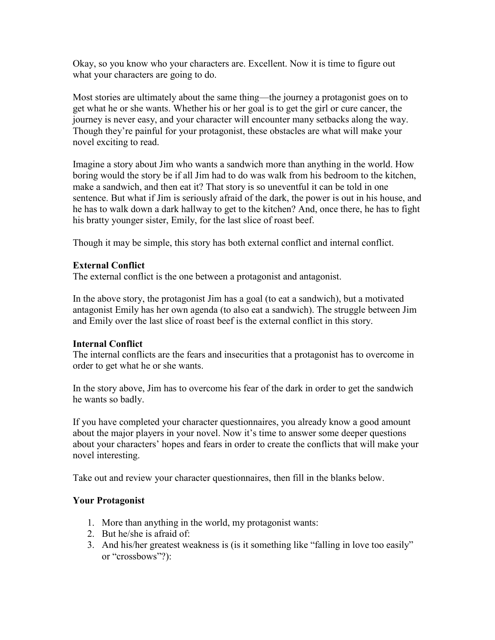Okay, so you know who your characters are. Excellent. Now it is time to figure out what your characters are going to do.

Most stories are ultimately about the same thing—the journey a protagonist goes on to get what he or she wants. Whether his or her goal is to get the girl or cure cancer, the journey is never easy, and your character will encounter many setbacks along the way. Though they're painful for your protagonist, these obstacles are what will make your novel exciting to read.

Imagine a story about Jim who wants a sandwich more than anything in the world. How boring would the story be if all Jim had to do was walk from his bedroom to the kitchen, make a sandwich, and then eat it? That story is so uneventful it can be told in one sentence. But what if Jim is seriously afraid of the dark, the power is out in his house, and he has to walk down a dark hallway to get to the kitchen? And, once there, he has to fight his bratty younger sister, Emily, for the last slice of roast beef.

Though it may be simple, this story has both external conflict and internal conflict.

# **External Conflict**

The external conflict is the one between a protagonist and antagonist.

In the above story, the protagonist Jim has a goal (to eat a sandwich), but a motivated antagonist Emily has her own agenda (to also eat a sandwich). The struggle between Jim and Emily over the last slice of roast beef is the external conflict in this story.

# **Internal Conflict**

The internal conflicts are the fears and insecurities that a protagonist has to overcome in order to get what he or she wants.

In the story above, Jim has to overcome his fear of the dark in order to get the sandwich he wants so badly.

If you have completed your character questionnaires, you already know a good amount about the major players in your novel. Now it's time to answer some deeper questions about your characters' hopes and fears in order to create the conflicts that will make your novel interesting.

Take out and review your character questionnaires, then fill in the blanks below.

### **Your Protagonist**

- 1. More than anything in the world, my protagonist wants:
- 2. But he/she is afraid of:
- 3. And his/her greatest weakness is (is it something like "falling in love too easily" or "crossbows"?):